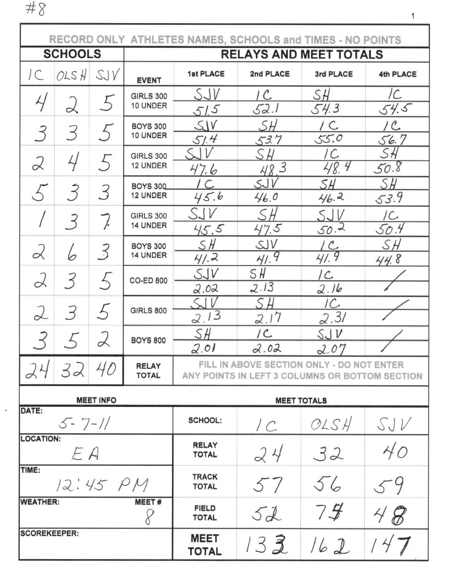$\#8$ 

| RECORD ONLY ATHLETES NAMES, SCHOOLS and TIMES - NO POINTS |                                        |                                   |                                    |                                                                                             |                 |             |             |  |  |  |
|-----------------------------------------------------------|----------------------------------------|-----------------------------------|------------------------------------|---------------------------------------------------------------------------------------------|-----------------|-------------|-------------|--|--|--|
|                                                           | <b>SCHOOLS</b>                         |                                   |                                    | <b>RELAYS AND MEET TOTALS</b>                                                               |                 |             |             |  |  |  |
| $\mathcal{C}$                                             | OLSH                                   | SJV                               | <b>EVENT</b>                       | 1st PLACE                                                                                   | 2nd PLACE       | 3rd PLACE   | 4th PLACE   |  |  |  |
| Υ                                                         | $\alpha$                               | <b>GIRLS 300</b><br>5<br>10 UNDER |                                    | SJV                                                                                         | 1 C.            | SH          | /C          |  |  |  |
|                                                           |                                        |                                   |                                    | 51.5                                                                                        | 52.1            | 54.3        | 54.5        |  |  |  |
| 3                                                         | 3                                      |                                   | <b>BOYS 300</b><br>10 UNDER        | SIV<br>51.4                                                                                 | SН<br>53.7      | / C<br>55.0 | / C<br>56.7 |  |  |  |
| 2                                                         | 4                                      | 5                                 | <b>GIRLS 300</b>                   | V                                                                                           | SН              | /C.         | SН          |  |  |  |
|                                                           |                                        |                                   | 12 UNDER                           | 47.6                                                                                        | 48.3            | 48.4        | 50.8        |  |  |  |
| 5                                                         | $\overline{3}$                         | 3                                 | <b>BOYS 300</b><br><b>12 UNDER</b> | C<br>45.6                                                                                   | SJV<br>46.0     | SH<br>46.2  | SH<br>53.9  |  |  |  |
|                                                           | $\overline{3}$                         | 7.                                | <b>GIRLS 300</b>                   | S-IV                                                                                        | SH              | SJV         | /C          |  |  |  |
|                                                           |                                        |                                   | 14 UNDER                           | 45.5                                                                                        | 47.5            | 50.2        | 50.4        |  |  |  |
| 2                                                         | 6                                      | 3                                 | <b>BOYS 300</b>                    | SH                                                                                          | SUV             | LC          | SН          |  |  |  |
|                                                           |                                        |                                   | 14 UNDER                           | 41.2                                                                                        | 41.9            | 41.9        | 44.8        |  |  |  |
| 2                                                         | $\overline{3}$                         |                                   | <b>CO-ED 800</b>                   | SUV<br>2.02                                                                                 | SH<br>2.13      | IC.<br>2.16 |             |  |  |  |
|                                                           |                                        |                                   |                                    | S                                                                                           | SН              | IC.         |             |  |  |  |
| 2                                                         | 3                                      | 5                                 | <b>GIRLS 800</b>                   | 2.13                                                                                        | 2.17            | 2.31        |             |  |  |  |
| 3                                                         |                                        |                                   | <b>BOYS 800</b>                    | SH                                                                                          | /C              | SJV         |             |  |  |  |
|                                                           |                                        |                                   |                                    | 2.01                                                                                        | 2.02            | 2.07        |             |  |  |  |
| 24                                                        | 32 40                                  |                                   | <b>RELAY</b><br><b>TOTAL</b>       | FILL IN ABOVE SECTION ONLY - DO NOT ENTER<br>ANY POINTS IN LEFT 3 COLUMNS OR BOTTOM SECTION |                 |             |             |  |  |  |
|                                                           | <b>MEET INFO</b><br><b>MEET TOTALS</b> |                                   |                                    |                                                                                             |                 |             |             |  |  |  |
| DATE:                                                     | $5 - 7 - 11$                           |                                   |                                    | <b>SCHOOL:</b>                                                                              | $\prime\subset$ | OLSH        | SJV         |  |  |  |
| <b>LOCATION:</b>                                          | EA                                     |                                   |                                    | <b>RELAY</b><br><b>TOTAL</b>                                                                | 24              | 32          | 40          |  |  |  |
| TIME:                                                     | 12:45 PM                               |                                   |                                    | <b>TRACK</b><br>57<br><b>TOTAL</b>                                                          |                 | 56          |             |  |  |  |
| <b>WEATHER:</b>                                           |                                        |                                   | <b>MEET#</b>                       | <b>FIELD</b><br><b>TOTAL</b>                                                                | 5d              | 75          | 48          |  |  |  |
| <b>SCOREKEEPER:</b>                                       |                                        |                                   |                                    | <b>MEET</b><br><b>TOTAL</b>                                                                 | 132             | 162         |             |  |  |  |

 $\mathbf 1$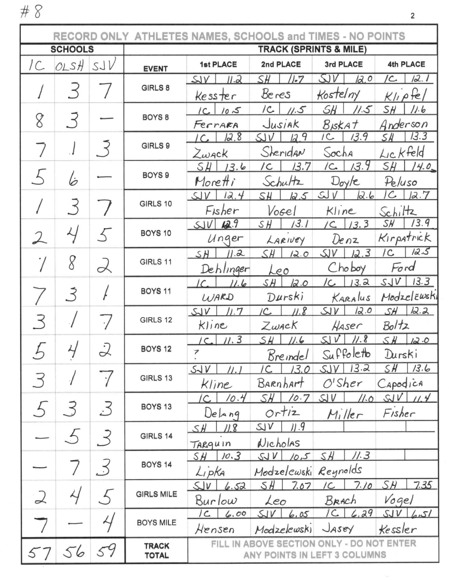$\#$   $\!8$ 

|               | RECORD ONLY ATHLETES NAMES, SCHOOLS and TIMES - NO POINTS |                          |                                   |                                           |                      |                           |                           |  |  |  |
|---------------|-----------------------------------------------------------|--------------------------|-----------------------------------|-------------------------------------------|----------------------|---------------------------|---------------------------|--|--|--|
|               | <b>SCHOOLS</b>                                            |                          | <b>TRACK (SPRINTS &amp; MILE)</b> |                                           |                      |                           |                           |  |  |  |
| IC.           | OLSH                                                      | SJV                      | <b>EVENT</b>                      | 1st PLACE                                 | 2nd PLACE            | 3rd PLACE                 | 4th PLACE                 |  |  |  |
|               |                                                           |                          | GIRLS 8                           | II.2<br>SV                                | $/ -7$<br>SH.        | SIV<br>12.0               | 12.<br>/C.                |  |  |  |
|               | $\prec$                                                   |                          |                                   | Kesster                                   | Beres                | Kostelny                  | $K$ lipfel                |  |  |  |
|               |                                                           |                          | BOYS <sub>8</sub>                 | $1C$ $105$                                | $ c_{-} $<br>11.5    | SH<br>11.5                | SH<br>11.6                |  |  |  |
|               | 3<br>8                                                    |                          |                                   | Ferrara                                   | Jusiak               | <b>B</b> <sub>ISKAT</sub> | Anderson                  |  |  |  |
|               |                                                           |                          | GIRLS 9                           | 12.8                                      | 12.9<br>SUV          | IC<br>13.9                | 13.3<br>SЖ                |  |  |  |
|               |                                                           |                          |                                   | Zwack                                     | Sheridan             | Socha                     | Lickfeld                  |  |  |  |
|               |                                                           |                          | BOYS <sub>9</sub>                 | 13.6<br>SH                                | 13.7<br>/C           | 13.9<br>/C                | SH.<br>14.0               |  |  |  |
|               | l5                                                        |                          |                                   | Moretti                                   | Schultz              | Doy/e                     | Peluso                    |  |  |  |
|               | 3                                                         |                          | GIRLS 10                          | 12.4<br>SV                                | SH<br>12.5           | SU<br>12.6                | $\mathcal{C}$<br>12.7     |  |  |  |
|               |                                                           |                          |                                   | Fisher                                    | Vogel                | Kline                     | Schiltz                   |  |  |  |
|               |                                                           |                          | BOYS 10                           | 42.9<br>SUV                               | 13.1<br>SΗ           | 13.3<br>$\overline{C}$    | 13.9<br>SH                |  |  |  |
| $\lambda$     |                                                           |                          |                                   | Unger                                     | LARIVEY              | Denz                      | Kirpatrick                |  |  |  |
|               | 8                                                         |                          | GIRLS 11                          | 11.2<br>SH                                | SH<br>12.0           | 12.3<br>SV                | 12.5<br>/C                |  |  |  |
|               |                                                           |                          |                                   | Dehlinger                                 | Leo                  | Choboy                    | Ford                      |  |  |  |
|               |                                                           |                          | BOYS <sub>11</sub>                | 11.6<br>ΙC                                | SH<br>12.0           | 13.2<br>/C                | 13.3<br>SUV               |  |  |  |
|               |                                                           |                          |                                   | WARD<br>11.7                              | Durski<br>11.8<br>IC | KARALUS<br>12.0<br>5V     | Modzelewski<br>12.2<br>SH |  |  |  |
|               |                                                           |                          | GIRLS 12                          | $S\rightarrow V$<br>Kline                 | $Z$ <i>wac</i> $K$   | Haser                     | Boltz                     |  |  |  |
|               |                                                           |                          |                                   | 11.3<br>$\sqrt{C}$                        | SH<br>11.6           | 11.8<br>$S_{\rm d}$ $V$   | $S$ $H$<br>12.0           |  |  |  |
|               |                                                           |                          | BOYS <sub>12</sub>                | 7                                         | Breindel             | Suffoletto                | Durski                    |  |  |  |
|               |                                                           |                          |                                   | SUV<br>//. I                              | 13.0<br>IC.          | 13.2<br>SJV               | SН<br>13.6                |  |  |  |
| 3             |                                                           |                          | GIRLS 13                          | Kline                                     | Barnhart             | $O'$ Sher                 | Capodica                  |  |  |  |
|               |                                                           |                          |                                   | 10.4<br>/C.                               | SH.<br>10.7          | SU<br><u>//.o</u>         | SV<br>11.4                |  |  |  |
| 5             | 3                                                         | 3                        | BOYS <sub>13</sub>                | DeAnq                                     | ortiz                | $M_i$ ller                | Fisher                    |  |  |  |
|               |                                                           |                          |                                   | SH<br>11.8                                | 11.9<br>S/V          |                           |                           |  |  |  |
|               | $\mathcal{L}$                                             | $\prec$                  | GIRLS 14                          | TARquin                                   | Nicholas             |                           |                           |  |  |  |
|               |                                                           |                          |                                   | 10.3<br>SH                                | SUV<br>10,5          | //.3<br>SH                |                           |  |  |  |
|               |                                                           | .3                       | BOYS <sub>14</sub>                | Lipka                                     | Modzelcwski Reynolds |                           |                           |  |  |  |
|               |                                                           |                          |                                   | 5V<br>6.52                                | 7.07<br>SH           | 7.10<br>/C                | SH<br>7.35                |  |  |  |
| $\mathcal{Q}$ | 4                                                         | $\overline{\mathcal{L}}$ | <b>GIRLS MILE</b>                 | Burlow                                    | Leo                  | Brach                     | Vogel                     |  |  |  |
|               |                                                           | 4                        | <b>BOYS MILE</b>                  | $\sqrt{c}$<br>6.00                        | SIV<br>6.05          | $1C_{6,29}$               | $SUV$ 6.51                |  |  |  |
|               |                                                           |                          |                                   | Hensen                                    | Modzelewski          | Jasey                     | Kessler                   |  |  |  |
|               |                                                           | 59                       | <b>TRACK</b>                      | FILL IN ABOVE SECTION ONLY - DO NOT ENTER |                      |                           |                           |  |  |  |
| 57            | 56                                                        |                          | <b>TOTAL</b>                      | ANY POINTS IN LEFT 3 COLUMNS              |                      |                           |                           |  |  |  |